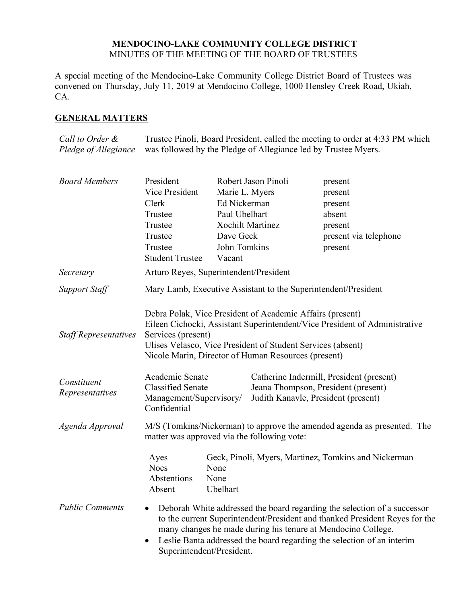## **MENDOCINO-LAKE COMMUNITY COLLEGE DISTRICT** MINUTES OF THE MEETING OF THE BOARD OF TRUSTEES

A special meeting of the Mendocino-Lake Community College District Board of Trustees was convened on Thursday, July 11, 2019 at Mendocino College, 1000 Hensley Creek Road, Ukiah, CA.

# **GENERAL MATTERS**

*Call to Order & Pledge of Allegiance* Trustee Pinoli, Board President, called the meeting to order at 4:33 PM which was followed by the Pledge of Allegiance led by Trustee Myers.

| <b>Board Members</b>           | President                                                                                                                                                                                                                                                                           | Robert Jason Pinoli      |                                                                                                                        | present                                                                                                                                                                                                                                                                                           |  |
|--------------------------------|-------------------------------------------------------------------------------------------------------------------------------------------------------------------------------------------------------------------------------------------------------------------------------------|--------------------------|------------------------------------------------------------------------------------------------------------------------|---------------------------------------------------------------------------------------------------------------------------------------------------------------------------------------------------------------------------------------------------------------------------------------------------|--|
|                                | Vice President                                                                                                                                                                                                                                                                      | Marie L. Myers           |                                                                                                                        | present                                                                                                                                                                                                                                                                                           |  |
|                                | Clerk                                                                                                                                                                                                                                                                               | Ed Nickerman             |                                                                                                                        | present                                                                                                                                                                                                                                                                                           |  |
|                                | Trustee                                                                                                                                                                                                                                                                             | Paul Ubelhart            |                                                                                                                        | absent                                                                                                                                                                                                                                                                                            |  |
|                                | Trustee                                                                                                                                                                                                                                                                             | <b>Xochilt Martinez</b>  |                                                                                                                        | present                                                                                                                                                                                                                                                                                           |  |
|                                | Trustee                                                                                                                                                                                                                                                                             | Dave Geck                |                                                                                                                        | present via telephone                                                                                                                                                                                                                                                                             |  |
|                                | Trustee                                                                                                                                                                                                                                                                             | John Tomkins             |                                                                                                                        | present                                                                                                                                                                                                                                                                                           |  |
|                                | <b>Student Trustee</b>                                                                                                                                                                                                                                                              | Vacant                   |                                                                                                                        |                                                                                                                                                                                                                                                                                                   |  |
| Secretary                      | Arturo Reyes, Superintendent/President                                                                                                                                                                                                                                              |                          |                                                                                                                        |                                                                                                                                                                                                                                                                                                   |  |
| <b>Support Staff</b>           | Mary Lamb, Executive Assistant to the Superintendent/President                                                                                                                                                                                                                      |                          |                                                                                                                        |                                                                                                                                                                                                                                                                                                   |  |
| <b>Staff Representatives</b>   | Debra Polak, Vice President of Academic Affairs (present)<br>Eileen Cichocki, Assistant Superintendent/Vice President of Administrative<br>Services (present)<br>Ulises Velasco, Vice President of Student Services (absent)<br>Nicole Marin, Director of Human Resources (present) |                          |                                                                                                                        |                                                                                                                                                                                                                                                                                                   |  |
| Constituent<br>Representatives | Academic Senate<br><b>Classified Senate</b><br>Management/Supervisory/<br>Confidential                                                                                                                                                                                              |                          | Catherine Indermill, President (present)<br>Jeana Thompson, President (present)<br>Judith Kanavle, President (present) |                                                                                                                                                                                                                                                                                                   |  |
| Agenda Approval                | M/S (Tomkins/Nickerman) to approve the amended agenda as presented. The<br>matter was approved via the following vote:                                                                                                                                                              |                          |                                                                                                                        |                                                                                                                                                                                                                                                                                                   |  |
|                                | Ayes<br><b>Noes</b><br>Abstentions<br>Absent                                                                                                                                                                                                                                        | None<br>None<br>Ubelhart |                                                                                                                        | Geck, Pinoli, Myers, Martinez, Tomkins and Nickerman                                                                                                                                                                                                                                              |  |
| <b>Public Comments</b>         | $\bullet$<br>$\bullet$<br>Superintendent/President.                                                                                                                                                                                                                                 |                          |                                                                                                                        | Deborah White addressed the board regarding the selection of a successor<br>to the current Superintendent/President and thanked President Reyes for the<br>many changes he made during his tenure at Mendocino College.<br>Leslie Banta addressed the board regarding the selection of an interim |  |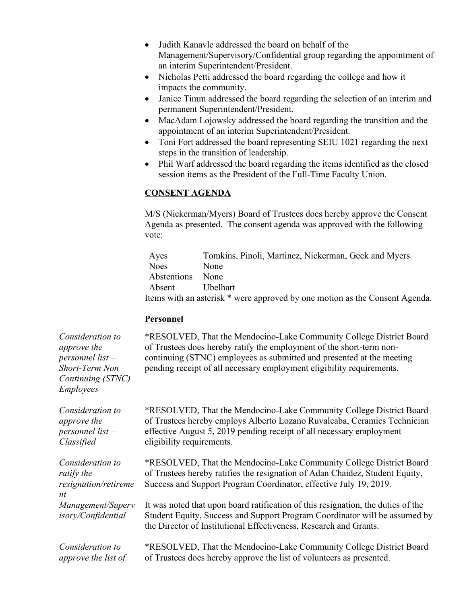- Judith Kanavle addressed the board on behalf of the Management/Supervisory/Confidential group regarding the appointment of an interim Superintendent/President.
- Nicholas Petti addressed the board regarding the college and how it impacts the community.
- Janice Timm addressed the board regarding the selection of an interim and permanent Superintendent/President.
- MacAdam Lojowsky addressed the board regarding the transition and the appointment of an interim Superintendent/President.
- Toni Fort addressed the board representing SEIU 1021 regarding the next steps in the transition of leadership.
- Phil Warf addressed the board regarding the items identified as the closed session items as the President of the Full-Time Faculty Union.

## **CONSENT AGENDA**

M/S (Nickerman/Myers) Board of Trustees does hereby approve the Consent Agenda as presented. The consent agenda was approved with the following vote:

| Ayes        | Tomkins, Pinoli, Martinez, Nickerman, Geck and Myers                        |
|-------------|-----------------------------------------------------------------------------|
| <b>Noes</b> | <b>None</b>                                                                 |
| Abstentions | None                                                                        |
| Absent      | Ubelhart                                                                    |
|             | Items with an asterisk * were approved by one motion as the Consent Agenda. |

## **Personnel**

*Consideration to approve the personnel list – Short-Term Non Continuing (STNC) Employees*

*Consideration to approve the personnel list – Classified*

*Consideration to ratify the resignation/retireme nt – Management/Superv isory/Confidential*

*Consideration to approve the list of*  \*RESOLVED, That the Mendocino-Lake Community College District Board of Trustees does hereby ratify the employment of the short-term noncontinuing (STNC) employees as submitted and presented at the meeting pending receipt of all necessary employment eligibility requirements.

\*RESOLVED, That the Mendocino-Lake Community College District Board of Trustees hereby employs Alberto Lozano Ruvalcaba, Ceramics Technician effective August 5, 2019 pending receipt of all necessary employment eligibility requirements.

\*RESOLVED, That the Mendocino-Lake Community College District Board of Trustees hereby ratifies the resignation of Adan Chaidez, Student Equity, Success and Support Program Coordinator, effective July 19, 2019.

It was noted that upon board ratification of this resignation, the duties of the Student Equity, Success and Support Program Coordinator will be assumed by the Director of Institutional Effectiveness, Research and Grants.

\*RESOLVED, That the Mendocino-Lake Community College District Board of Trustees does hereby approve the list of volunteers as presented.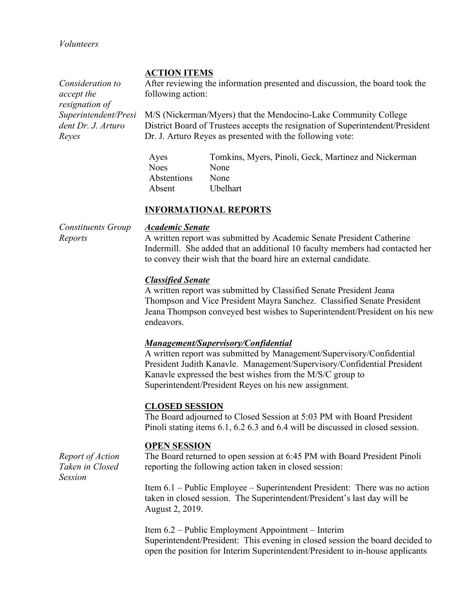*Volunteers*

## **ACTION ITEMS**

*Consideration to accept the resignation of Superintendent/Presi* After reviewing the information presented and discussion, the board took the following action:

M/S (Nickerman/Myers) that the Mendocino-Lake Community College District Board of Trustees accepts the resignation of Superintendent/President Dr. J. Arturo Reyes as presented with the following vote:

Ayes Tomkins, Myers, Pinoli, Geck, Martinez and Nickerman Noes None Abstentions None Absent Ubelhart

## **INFORMATIONAL REPORTS**

*Constituents Group Reports*

*dent Dr. J. Arturo* 

*Reyes*

#### *Academic Senate*

A written report was submitted by Academic Senate President Catherine Indermill. She added that an additional 10 faculty members had contacted her to convey their wish that the board hire an external candidate.

### *Classified Senate*

A written report was submitted by Classified Senate President Jeana Thompson and Vice President Mayra Sanchez. Classified Senate President Jeana Thompson conveyed best wishes to Superintendent/President on his new endeavors.

### *Management/Supervisory/Confidential*

A written report was submitted by Management/Supervisory/Confidential President Judith Kanavle. Management/Supervisory/Confidential President Kanavle expressed the best wishes from the M/S/C group to Superintendent/President Reyes on his new assignment.

### **CLOSED SESSION**

The Board adjourned to Closed Session at 5:03 PM with Board President Pinoli stating items 6.1, 6.2 6.3 and 6.4 will be discussed in closed session.

### **OPEN SESSION**

The Board returned to open session at 6:45 PM with Board President Pinoli reporting the following action taken in closed session:

Item 6.1 – Public Employee – Superintendent President: There was no action taken in closed session. The Superintendent/President's last day will be August 2, 2019.

Item 6.2 – Public Employment Appointment – Interim Superintendent/President: This evening in closed session the board decided to open the position for Interim Superintendent/President to in-house applicants

*Report of Action Taken in Closed Session*